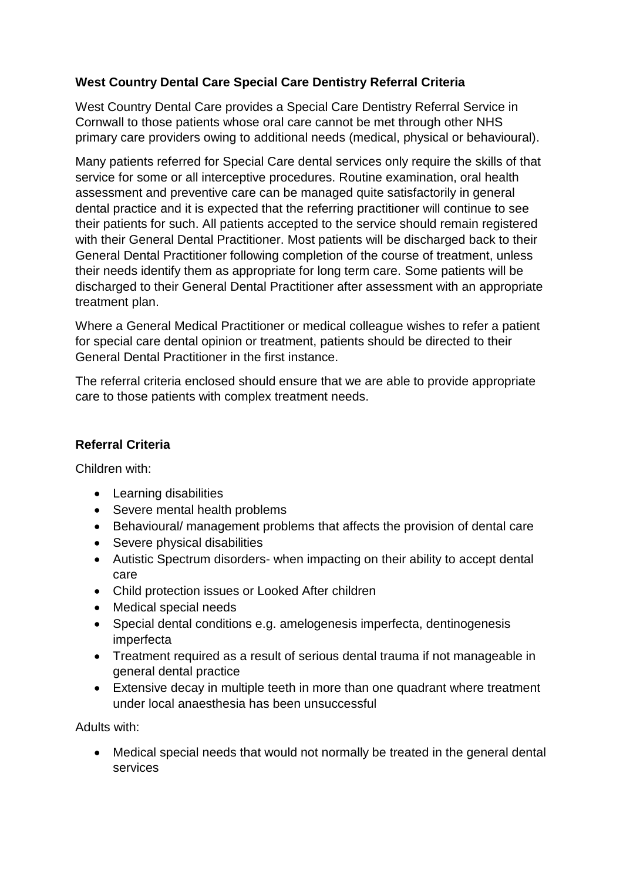## **West Country Dental Care Special Care Dentistry Referral Criteria**

West Country Dental Care provides a Special Care Dentistry Referral Service in Cornwall to those patients whose oral care cannot be met through other NHS primary care providers owing to additional needs (medical, physical or behavioural).

Many patients referred for Special Care dental services only require the skills of that service for some or all interceptive procedures. Routine examination, oral health assessment and preventive care can be managed quite satisfactorily in general dental practice and it is expected that the referring practitioner will continue to see their patients for such. All patients accepted to the service should remain registered with their General Dental Practitioner. Most patients will be discharged back to their General Dental Practitioner following completion of the course of treatment, unless their needs identify them as appropriate for long term care. Some patients will be discharged to their General Dental Practitioner after assessment with an appropriate treatment plan.

Where a General Medical Practitioner or medical colleague wishes to refer a patient for special care dental opinion or treatment, patients should be directed to their General Dental Practitioner in the first instance.

The referral criteria enclosed should ensure that we are able to provide appropriate care to those patients with complex treatment needs.

## **Referral Criteria**

Children with:

- Learning disabilities
- Severe mental health problems
- Behavioural/ management problems that affects the provision of dental care
- Severe physical disabilities
- Autistic Spectrum disorders- when impacting on their ability to accept dental care
- Child protection issues or Looked After children
- Medical special needs
- Special dental conditions e.g. amelogenesis imperfecta, dentinogenesis imperfecta
- Treatment required as a result of serious dental trauma if not manageable in general dental practice
- Extensive decay in multiple teeth in more than one quadrant where treatment under local anaesthesia has been unsuccessful

Adults with:

 Medical special needs that would not normally be treated in the general dental services